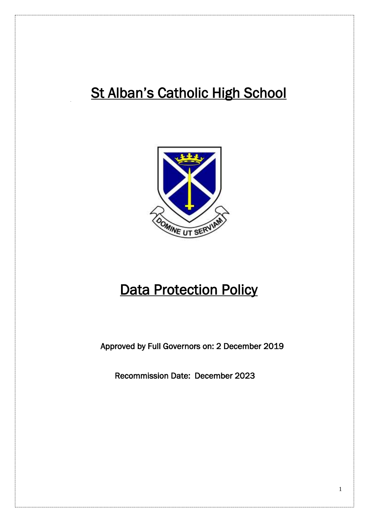# **St Alban's Catholic High School**



# **Data Protection Policy**

Approved by Full Governors on: 2 December 2019

Recommission Date: December 2023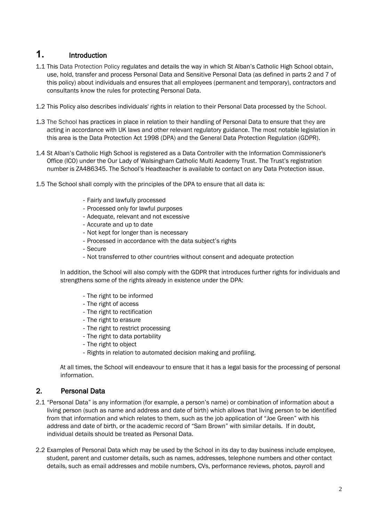# **1.** Introduction

- 1.1 This Data Protection Policy regulates and details the way in which St Alban's Catholic High School obtain, use, hold, transfer and process Personal Data and Sensitive Personal Data (as defined in parts 2 and 7 of this policy) about individuals and ensures that all employees (permanent and temporary), contractors and consultants know the rules for protecting Personal Data.
- 1.2 This Policy also describes individuals' rights in relation to their Personal Data processed by the School.
- 1.3 The School has practices in place in relation to their handling of Personal Data to ensure that they are acting in accordance with UK laws and other relevant regulatory guidance. The most notable legislation in this area is the Data Protection Act 1998 (DPA) and the General Data Protection Regulation (GDPR).
- 1.4 St Alban's Catholic High School is registered as a Data Controller with the Information Commissioner's Office (ICO) under the Our Lady of Walsingham Catholic Multi Academy Trust. The Trust's registration number is ZA486345. The School's Headteacher is available to contact on any Data Protection issue.
- 1.5 The School shall comply with the principles of the DPA to ensure that all data is:
	- Fairly and lawfully processed
	- Processed only for lawful purposes
	- Adequate, relevant and not excessive
	- Accurate and up to date
	- Not kept for longer than is necessary
	- Processed in accordance with the data subject's rights
	- Secure
	- Not transferred to other countries without consent and adequate protection

In addition, the School will also comply with the GDPR that introduces further rights for individuals and strengthens some of the rights already in existence under the DPA:

- The right to be informed
- The right of access
- The right to rectification
- The right to erasure
- The right to restrict processing
- The right to data portability
- The right to object
- Rights in relation to automated decision making and profiling.

At all times, the School will endeavour to ensure that it has a legal basis for the processing of personal information.

# 2. Personal Data

- 2.1 "Personal Data" is any information (for example, a person's name) or combination of information about a living person (such as name and address and date of birth) which allows that living person to be identified from that information and which relates to them, such as the job application of "Joe Green" with his address and date of birth, or the academic record of "Sam Brown" with similar details. If in doubt, individual details should be treated as Personal Data.
- 2.2 Examples of Personal Data which may be used by the School in its day to day business include employee, student, parent and customer details, such as names, addresses, telephone numbers and other contact details, such as email addresses and mobile numbers, CVs, performance reviews, photos, payroll and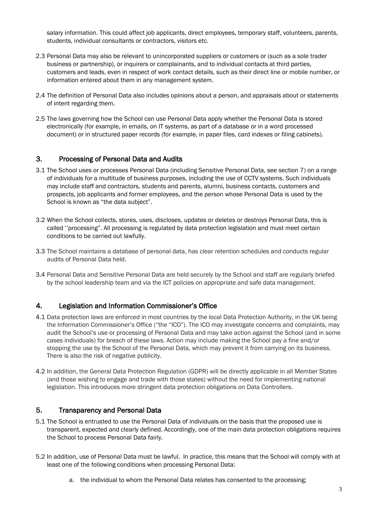salary information. This could affect job applicants, direct employees, temporary staff, volunteers, parents, students, individual consultants or contractors, visitors etc.

- 2.3 Personal Data may also be relevant to unincorporated suppliers or customers or (such as a sole trader business or partnership), or inquirers or complainants, and to individual contacts at third parties, customers and leads, even in respect of work contact details, such as their direct line or mobile number, or information entered about them in any management system.
- 2.4 The definition of Personal Data also includes opinions about a person, and appraisals about or statements of intent regarding them.
- 2.5 The laws governing how the School can use Personal Data apply whether the Personal Data is stored electronically (for example, in emails, on IT systems, as part of a database or in a word processed document) or in structured paper records (for example, in paper files, card indexes or filing cabinets).

## 3. Processing of Personal Data and Audits

- 3.1 The School uses or processes Personal Data (including Sensitive Personal Data, see section 7) on a range of individuals for a multitude of business purposes, including the use of CCTV systems. Such individuals may include staff and contractors, students and parents, alumni, business contacts, customers and prospects, job applicants and former employees, and the person whose Personal Data is used by the School is known as "the data subject".
- 3.2 When the School collects, stores, uses, discloses, updates or deletes or destroys Personal Data, this is called ''processing". All processing is regulated by data protection legislation and must meet certain conditions to be carried out lawfully.
- 3.3 The School maintains a database of personal data, has clear retention schedules and conducts regular audits of Personal Data held.
- 3.4 Personal Data and Sensitive Personal Data are held securely by the School and staff are regularly briefed by the school leadership team and via the ICT policies on appropriate and safe data management.

## 4. Legislation and Information Commissioner's Office

- 4.1 Data protection laws are enforced in most countries by the local Data Protection Authority, in the UK being the Information Commissioner's Office ("the "ICO"). The ICO may investigate concerns and complaints, may audit the School's use or processing of Personal Data and may take action against the School (and in some cases individuals) for breach of these laws. Action may include making the School pay a fine and/or stopping the use by the School of the Personal Data, which may prevent it from carrying on its business. There is also the risk of negative publicity.
- 4.2 In addition, the General Data Protection Regulation (GDPR) will be directly applicable in all Member States (and those wishing to engage and trade with those states) without the need for implementing national legislation. This introduces more stringent data protection obligations on Data Controllers.

# 5. Transparency and Personal Data

- 5.1 The School is entrusted to use the Personal Data of individuals on the basis that the proposed use is transparent, expected and clearly defined. Accordingly, one of the main data protection obligations requires the School to process Personal Data fairly.
- 5.2 In addition, use of Personal Data must be lawful. In practice, this means that the School will comply with at least one of the following conditions when processing Personal Data:
	- a. the individual to whom the Personal Data relates has consented to the processing;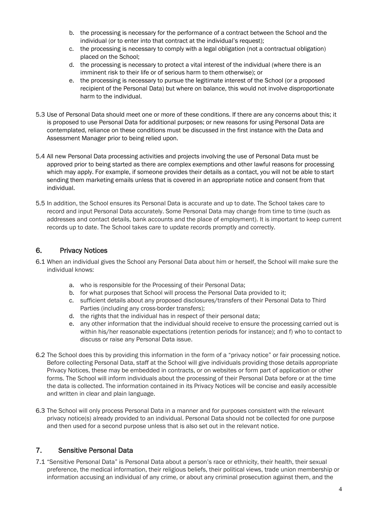- b. the processing is necessary for the performance of a contract between the School and the individual (or to enter into that contract at the individual's request);
- c. the processing is necessary to comply with a legal obligation (not a contractual obligation) placed on the School;
- d. the processing is necessary to protect a vital interest of the individual (where there is an imminent risk to their life or of serious harm to them otherwise); or
- e. the processing is necessary to pursue the legitimate interest of the School (or a proposed recipient of the Personal Data) but where on balance, this would not involve disproportionate harm to the individual.
- 5.3 Use of Personal Data should meet one or more of these conditions. If there are any concerns about this; it is proposed to use Personal Data for additional purposes; or new reasons for using Personal Data are contemplated, reliance on these conditions must be discussed in the first instance with the Data and Assessment Manager prior to being relied upon.
- 5.4 All new Personal Data processing activities and projects involving the use of Personal Data must be approved prior to being started as there are complex exemptions and other lawful reasons for processing which may apply. For example, if someone provides their details as a contact, you will not be able to start sending them marketing emails unless that is covered in an appropriate notice and consent from that individual.
- 5.5 In addition, the School ensures its Personal Data is accurate and up to date. The School takes care to record and input Personal Data accurately. Some Personal Data may change from time to time (such as addresses and contact details, bank accounts and the place of employment). It is important to keep current records up to date. The School takes care to update records promptly and correctly.

# 6. Privacy Notices

- 6.1 When an individual gives the School any Personal Data about him or herself, the School will make sure the individual knows:
	- a. who is responsible for the Processing of their Personal Data;
	- b. for what purposes that School will process the Personal Data provided to it;
	- c. sufficient details about any proposed disclosures/transfers of their Personal Data to Third Parties (including any cross-border transfers);
	- d. the rights that the individual has in respect of their personal data;
	- e. any other information that the individual should receive to ensure the processing carried out is within his/her reasonable expectations (retention periods for instance); and f) who to contact to discuss or raise any Personal Data issue.
- 6.2 The School does this by providing this information in the form of a "privacy notice" or fair processing notice. Before collecting Personal Data, staff at the School will give individuals providing those details appropriate Privacy Notices, these may be embedded in contracts, or on websites or form part of application or other forms. The School will inform individuals about the processing of their Personal Data before or at the time the data is collected. The information contained in its Privacy Notices will be concise and easily accessible and written in clear and plain language.
- 6.3 The School will only process Personal Data in a manner and for purposes consistent with the relevant privacy notice(s) already provided to an individual. Personal Data should not be collected for one purpose and then used for a second purpose unless that is also set out in the relevant notice.

# 7. Sensitive Personal Data

7.1 "Sensitive Personal Data" is Personal Data about a person's race or ethnicity, their health, their sexual preference, the medical information, their religious beliefs, their political views, trade union membership or information accusing an individual of any crime, or about any criminal prosecution against them, and the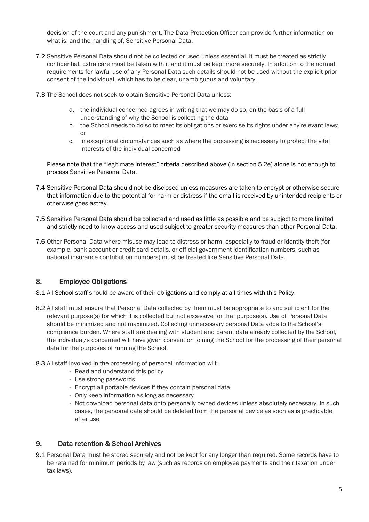decision of the court and any punishment. The Data Protection Officer can provide further information on what is, and the handling of, Sensitive Personal Data.

- 7.2 Sensitive Personal Data should not be collected or used unless essential. It must be treated as strictly confidential. Extra care must be taken with it and it must be kept more securely. In addition to the normal requirements for lawful use of any Personal Data such details should not be used without the explicit prior consent of the individual, which has to be clear, unambiguous and voluntary.
- 7.3 The School does not seek to obtain Sensitive Personal Data unless:
	- a. the individual concerned agrees in writing that we may do so, on the basis of a full understanding of why the School is collecting the data
	- b. the School needs to do so to meet its obligations or exercise its rights under any relevant laws; or
	- c. in exceptional circumstances such as where the processing is necessary to protect the vital interests of the individual concerned

Please note that the "legitimate interest" criteria described above (in section 5.2e) alone is not enough to process Sensitive Personal Data.

- 7.4 Sensitive Personal Data should not be disclosed unless measures are taken to encrypt or otherwise secure that information due to the potential for harm or distress if the email is received by unintended recipients or otherwise goes astray.
- 7.5 Sensitive Personal Data should be collected and used as little as possible and be subject to more limited and strictly need to know access and used subject to greater security measures than other Personal Data.
- 7.6 Other Personal Data where misuse may lead to distress or harm, especially to fraud or identity theft (for example, bank account or credit card details, or official government identification numbers, such as national insurance contribution numbers) must be treated like Sensitive Personal Data.

# 8. Employee Obligations

- 8.1 All School staff should be aware of their obligations and comply at all times with this Policy.
- 8.2 All staff must ensure that Personal Data collected by them must be appropriate to and sufficient for the relevant purpose(s) for which it is collected but not excessive for that purpose(s). Use of Personal Data should be minimized and not maximized. Collecting unnecessary personal Data adds to the School's compliance burden. Where staff are dealing with student and parent data already collected by the School, the individual/s concerned will have given consent on joining the School for the processing of their personal data for the purposes of running the School.
- 8.3 All staff involved in the processing of personal information will:
	- Read and understand this policy
	- Use strong passwords
	- Encrypt all portable devices if they contain personal data
	- Only keep information as long as necessary
	- Not download personal data onto personally owned devices unless absolutely necessary. In such cases, the personal data should be deleted from the personal device as soon as is practicable after use

## 9. Data retention & School Archives

9.1 Personal Data must be stored securely and not be kept for any longer than required. Some records have to be retained for minimum periods by law (such as records on employee payments and their taxation under tax laws).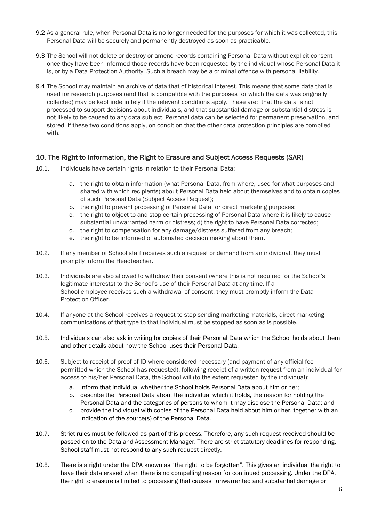- 9.2 As a general rule, when Personal Data is no longer needed for the purposes for which it was collected, this Personal Data will be securely and permanently destroyed as soon as practicable.
- 9.3 The School will not delete or destroy or amend records containing Personal Data without explicit consent once they have been informed those records have been requested by the individual whose Personal Data it is, or by a Data Protection Authority. Such a breach may be a criminal offence with personal liability.
- 9.4 The School may maintain an archive of data that of historical interest. This means that some data that is used for research purposes (and that is compatible with the purposes for which the data was originally collected) may be kept indefinitely if the relevant conditions apply. These are: that the data is not processed to support decisions about individuals, and that substantial damage or substantial distress is not likely to be caused to any data subject. Personal data can be selected for permanent preservation, and stored, if these two conditions apply, on condition that the other data protection principles are complied with.

## 10. The Right to Information, the Right to Erasure and Subject Access Requests (SAR)

- 10.1. Individuals have certain rights in relation to their Personal Data:
	- a. the right to obtain information (what Personal Data, from where, used for what purposes and shared with which recipients) about Personal Data held about themselves and to obtain copies of such Personal Data (Subject Access Request);
	- b. the right to prevent processing of Personal Data for direct marketing purposes;
	- c. the right to object to and stop certain processing of Personal Data where it is likely to cause substantial unwarranted harm or distress; d) the right to have Personal Data corrected;
	- d. the right to compensation for any damage/distress suffered from any breach;
	- e. the right to be informed of automated decision making about them.
- 10.2. If any member of School staff receives such a request or demand from an individual, they must promptly inform the Headteacher.
- 10.3. Individuals are also allowed to withdraw their consent (where this is not required for the School's legitimate interests) to the School's use of their Personal Data at any time. If a School employee receives such a withdrawal of consent, they must promptly inform the Data Protection Officer.
- 10.4. If anyone at the School receives a request to stop sending marketing materials, direct marketing communications of that type to that individual must be stopped as soon as is possible.
- 10.5. Individuals can also ask in writing for copies of their Personal Data which the School holds about them and other details about how the School uses their Personal Data.
- 10.6. Subject to receipt of proof of ID where considered necessary (and payment of any official fee permitted which the School has requested), following receipt of a written request from an individual for access to his/her Personal Data, the School will (to the extent requested by the individual):
	- a. inform that individual whether the School holds Personal Data about him or her;
	- b. describe the Personal Data about the individual which it holds, the reason for holding the Personal Data and the categories of persons to whom it may disclose the Personal Data; and
	- c. provide the individual with copies of the Personal Data held about him or her, together with an indication of the source(s) of the Personal Data.
- 10.7. Strict rules must be followed as part of this process. Therefore, any such request received should be passed on to the Data and Assessment Manager. There are strict statutory deadlines for responding. School staff must not respond to any such request directly.
- 10.8. There is a right under the DPA known as "the right to be forgotten". This gives an individual the right to have their data erased when there is no compelling reason for continued processing. Under the DPA, the right to erasure is limited to processing that causes unwarranted and substantial damage or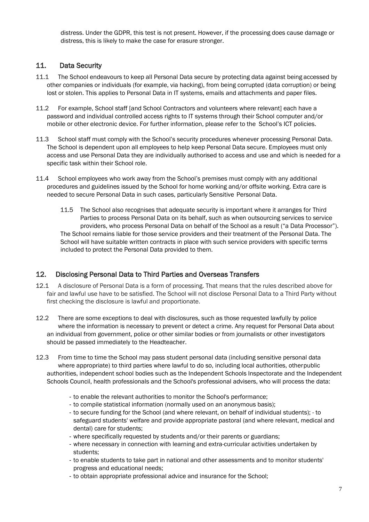distress. Under the GDPR, this test is not present. However, if the processing does cause damage or distress, this is likely to make the case for erasure stronger.

# 11. Data Security

- 11.1 The School endeavours to keep all Personal Data secure by protecting data against being accessed by other companies or individuals (for example, via hacking), from being corrupted (data corruption) or being lost or stolen. This applies to Personal Data in IT systems, emails and attachments and paper files.
- 11.2 For example, School staff [and School Contractors and volunteers where relevant] each have a password and individual controlled access rights to IT systems through their School computer and/or mobile or other electronic device. For further information, please refer to the School's ICT policies.
- 11.3 School staff must comply with the School's security procedures whenever processing Personal Data. The School is dependent upon all employees to help keep Personal Data secure. Employees must only access and use Personal Data they are individually authorised to access and use and which is needed for a specific task within their School role.
- 11.4 School employees who work away from the School's premises must comply with any additional procedures and guidelines issued by the School for home working and/or offsite working. Extra care is needed to secure Personal Data in such cases, particularly Sensitive Personal Data.
	- 11.5 The School also recognises that adequate security is important where it arranges for Third Parties to process Personal Data on its behalf, such as when outsourcing services to service providers, who process Personal Data on behalf of the School as a result ("a Data Processor"). The School remains liable for those service providers and their treatment of the Personal Data. The School will have suitable written contracts in place with such service providers with specific terms included to protect the Personal Data provided to them.

# 12. Disclosing Personal Data to Third Parties and Overseas Transfers

- 12.1 A disclosure of Personal Data is a form of processing. That means that the rules described above for fair and lawful use have to be satisfied. The School will not disclose Personal Data to a Third Party without first checking the disclosure is lawful and proportionate.
- 12.2 There are some exceptions to deal with disclosures, such as those requested lawfully by police where the information is necessary to prevent or detect a crime. Any request for Personal Data about an individual from government, police or other similar bodies or from journalists or other investigators should be passed immediately to the Headteacher.
- 12.3 From time to time the School may pass student personal data (including sensitive personal data where appropriate) to third parties where lawful to do so, including local authorities, otherpublic authorities, independent school bodies such as the Independent Schools Inspectorate and the Independent Schools Council, health professionals and the School's professional advisers, who will process the data:
	- to enable the relevant authorities to monitor the School's performance;
	- to compile statistical information (normally used on an anonymous basis);
	- to secure funding for the School (and where relevant, on behalf of individual students); to safeguard students' welfare and provide appropriate pastoral (and where relevant, medical and dental) care for students;
	- where specifically requested by students and/or their parents or guardians;
	- where necessary in connection with learning and extra-curricular activities undertaken by students;
	- to enable students to take part in national and other assessments and to monitor students' progress and educational needs;
	- to obtain appropriate professional advice and insurance for the School;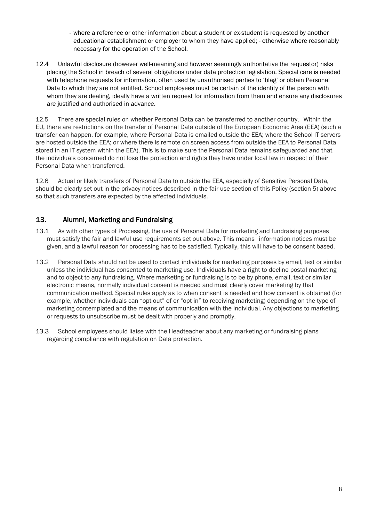- where a reference or other information about a student or ex-student is requested by another educational establishment or employer to whom they have applied; - otherwise where reasonably necessary for the operation of the School.
- 12.4 Unlawful disclosure (however well-meaning and however seemingly authoritative the requestor) risks placing the School in breach of several obligations under data protection legislation. Special care is needed with telephone requests for information, often used by unauthorised parties to 'blag' or obtain Personal Data to which they are not entitled. School employees must be certain of the identity of the person with whom they are dealing, ideally have a written request for information from them and ensure any disclosures are justified and authorised in advance.

12.5 There are special rules on whether Personal Data can be transferred to another country. Within the EU, there are restrictions on the transfer of Personal Data outside of the European Economic Area (EEA) (such a transfer can happen, for example, where Personal Data is emailed outside the EEA; where the School IT servers are hosted outside the EEA; or where there is remote on screen access from outside the EEA to Personal Data stored in an IT system within the EEA). This is to make sure the Personal Data remains safeguarded and that the individuals concerned do not lose the protection and rights they have under local law in respect of their Personal Data when transferred.

12.6 Actual or likely transfers of Personal Data to outside the EEA, especially of Sensitive Personal Data, should be clearly set out in the privacy notices described in the fair use section of this Policy (section 5) above so that such transfers are expected by the affected individuals.

# 13. Alumni, Marketing and Fundraising

- 13.1 As with other types of Processing, the use of Personal Data for marketing and fundraising purposes must satisfy the fair and lawful use requirements set out above. This means information notices must be given, and a lawful reason for processing has to be satisfied. Typically, this will have to be consent based.
- 13.2 Personal Data should not be used to contact individuals for marketing purposes by email, text or similar unless the individual has consented to marketing use. Individuals have a right to decline postal marketing and to object to any fundraising. Where marketing or fundraising is to be by phone, email, text or similar electronic means, normally individual consent is needed and must clearly cover marketing by that communication method. Special rules apply as to when consent is needed and how consent is obtained (for example, whether individuals can "opt out" of or "opt in" to receiving marketing) depending on the type of marketing contemplated and the means of communication with the individual. Any objections to marketing or requests to unsubscribe must be dealt with properly and promptly.
- 13.3 School employees should liaise with the Headteacher about any marketing or fundraising plans regarding compliance with regulation on Data protection.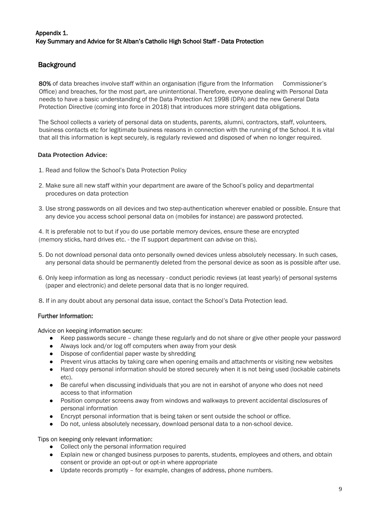## Appendix 1. Key Summary and Advice for St Alban's Catholic High School Staff - Data Protection

# **Background**

80% of data breaches involve staff within an organisation (figure from the Information Commissioner's Office) and breaches, for the most part, are unintentional. Therefore, everyone dealing with Personal Data needs to have a basic understanding of the Data Protection Act 1998 (DPA) and the new General Data Protection Directive (coming into force in 2018) that introduces more stringent data obligations.

The School collects a variety of personal data on students, parents, alumni, contractors, staff, volunteers, business contacts etc for legitimate business reasons in connection with the running of the School. It is vital that all this information is kept securely, is regularly reviewed and disposed of when no longer required.

#### **Data Protection Advice:**

- 1. Read and follow the School's Data Protection Policy
- 2. Make sure all new staff within your department are aware of the School's policy and departmental procedures on data protection
- 3. Use strong passwords on all devices and two step-authentication wherever enabled or possible. Ensure that any device you access school personal data on (mobiles for instance) are password protected.

4. It is preferable not to but if you do use portable memory devices, ensure these are encrypted (memory sticks, hard drives etc. - the IT support department can advise on this).

- 5. Do not download personal data onto personally owned devices unless absolutely necessary. In such cases, any personal data should be permanently deleted from the personal device as soon as is possible after use.
- 6. Only keep information as long as necessary conduct periodic reviews (at least yearly) of personal systems (paper and electronic) and delete personal data that is no longer required.
- 8. If in any doubt about any personal data issue, contact the School's Data Protection lead.

## Further Information:

Advice on keeping information secure:

- Keep passwords secure change these regularly and do not share or give other people your password
- Always lock and/or log off computers when away from your desk
- Dispose of confidential paper waste by shredding
- Prevent virus attacks by taking care when opening emails and attachments or visiting new websites
- Hard copy personal information should be stored securely when it is not being used (lockable cabinets etc).
- Be careful when discussing individuals that you are not in earshot of anyone who does not need access to that information
- Position computer screens away from windows and walkways to prevent accidental disclosures of personal information
- Encrypt personal information that is being taken or sent outside the school or office.
- Do not, unless absolutely necessary, download personal data to a non-school device.

#### Tips on keeping only relevant information:

- Collect only the personal information required
- Explain new or changed business purposes to parents, students, employees and others, and obtain consent or provide an opt-out or opt-in where appropriate
- Update records promptly for example, changes of address, phone numbers.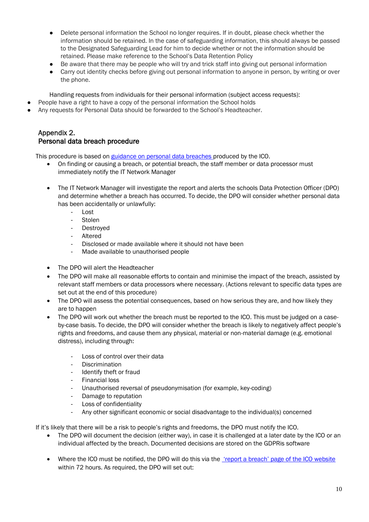- Delete personal information the School no longer requires. If in doubt, please check whether the information should be retained. In the case of safeguarding information, this should always be passed to the Designated Safeguarding Lead for him to decide whether or not the information should be retained. Please make reference to the School's Data Retention Policy
- Be aware that there may be people who will try and trick staff into giving out personal information
- Carry out identity checks before giving out personal information to anyone in person, by writing or over the phone.

Handling requests from individuals for their personal information (subject access requests):

- People have a right to have a copy of the personal information the School holds
- Any requests for Personal Data should be forwarded to the School's Headteacher.

## Appendix 2. Personal data breach procedure

This procedure is based on [guidance on personal data breaches p](https://ico.org.uk/for-organisations/guide-to-the-general-data-protection-regulation-gdpr/personal-data-breaches/)roduced by the ICO.

- On finding or causing a breach, or potential breach, the staff member or data processor must immediately notify the IT Network Manager
- The IT Network Manager will investigate the report and alerts the schools Data Protection Officer (DPO) and determine whether a breach has occurred. To decide, the DPO will consider whether personal data has been accidentally or unlawfully:
	- Lost
	- **Stolen**
	- **Destroyed**
	- Altered
	- Disclosed or made available where it should not have been
	- Made available to unauthorised people
- The DPO will alert the Headteacher
- The DPO will make all reasonable efforts to contain and minimise the impact of the breach, assisted by relevant staff members or data processors where necessary. (Actions relevant to specific data types are set out at the end of this procedure)
- The DPO will assess the potential consequences, based on how serious they are, and how likely they are to happen
- The DPO will work out whether the breach must be reported to the ICO. This must be judged on a caseby-case basis. To decide, the DPO will consider whether the breach is likely to negatively affect people's rights and freedoms, and cause them any physical, material or non-material damage (e.g. emotional distress), including through:
	- Loss of control over their data
	- Discrimination
	- Identify theft or fraud
	- Financial loss
	- Unauthorised reversal of pseudonymisation (for example, key-coding)
	- Damage to reputation
	- Loss of confidentiality
	- Any other significant economic or social disadvantage to the individual(s) concerned

If it's likely that there will be a risk to people's rights and freedoms, the DPO must notify the ICO.

- The DPO will document the decision (either way), in case it is challenged at a later date by the ICO or an individual affected by the breach. Documented decisions are stored on the GDPRis software
- Where the ICO must be notified, the DPO will do this via the <u>['report a breach' page of the ICO](https://ico.org.uk/for-organisations/report-a-breach/) website</u> within 72 hours. As required, the DPO will set out: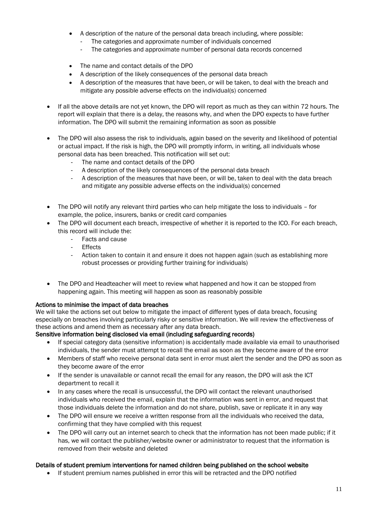- A description of the nature of the personal data breach including, where possible:
	- The categories and approximate number of individuals concerned
	- The categories and approximate number of personal data records concerned
- The name and contact details of the DPO
- A description of the likely consequences of the personal data breach
- A description of the measures that have been, or will be taken, to deal with the breach and mitigate any possible adverse effects on the individual(s) concerned
- If all the above details are not yet known, the DPO will report as much as they can within 72 hours. The report will explain that there is a delay, the reasons why, and when the DPO expects to have further information. The DPO will submit the remaining information as soon as possible
- The DPO will also assess the risk to individuals, again based on the severity and likelihood of potential or actual impact. If the risk is high, the DPO will promptly inform, in writing, all individuals whose personal data has been breached. This notification will set out:
	- The name and contact details of the DPO
	- A description of the likely consequences of the personal data breach
	- A description of the measures that have been, or will be, taken to deal with the data breach and mitigate any possible adverse effects on the individual(s) concerned
- The DPO will notify any relevant third parties who can help mitigate the loss to individuals for example, the police, insurers, banks or credit card companies
- The DPO will document each breach, irrespective of whether it is reported to the ICO. For each breach, this record will include the:
	- Facts and cause
	- **Effects**
	- Action taken to contain it and ensure it does not happen again (such as establishing more robust processes or providing further training for individuals)
- The DPO and Headteacher will meet to review what happened and how it can be stopped from happening again. This meeting will happen as soon as reasonably possible

# Actions to minimise the impact of data breaches

We will take the actions set out below to mitigate the impact of different types of data breach, focusing especially on breaches involving particularly risky or sensitive information. We will review the effectiveness of these actions and amend them as necessary after any data breach.

## Sensitive information being disclosed via email (including safeguarding records)

- If special category data (sensitive information) is accidentally made available via email to unauthorised individuals, the sender must attempt to recall the email as soon as they become aware of the error
- Members of staff who receive personal data sent in error must alert the sender and the DPO as soon as they become aware of the error
- If the sender is unavailable or cannot recall the email for any reason, the DPO will ask the ICT department to recall it
- In any cases where the recall is unsuccessful, the DPO will contact the relevant unauthorised individuals who received the email, explain that the information was sent in error, and request that those individuals delete the information and do not share, publish, save or replicate it in any way
- The DPO will ensure we receive a written response from all the individuals who received the data, confirming that they have complied with this request
- The DPO will carry out an internet search to check that the information has not been made public; if it has, we will contact the publisher/website owner or administrator to request that the information is removed from their website and deleted

## Details of student premium interventions for named children being published on the school website

• If student premium names published in error this will be retracted and the DPO notified